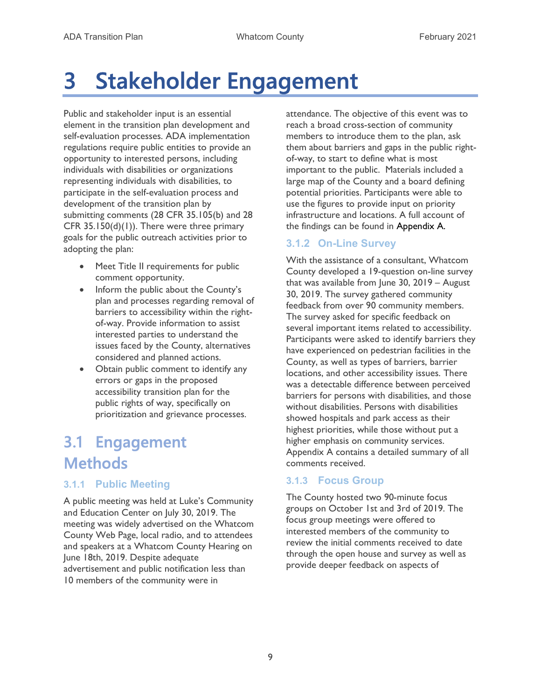# 3 Stakeholder Engagement

Public and stakeholder input is an essential element in the transition plan development and self-evaluation processes. ADA implementation regulations require public entities to provide an opportunity to interested persons, including individuals with disabilities or organizations representing individuals with disabilities, to participate in the self-evaluation process and development of the transition plan by submitting comments (28 CFR 35.105(b) and 28 CFR 35.150(d)(1)). There were three primary goals for the public outreach activities prior to adopting the plan:

- Meet Title II requirements for public comment opportunity.
- Inform the public about the County's plan and processes regarding removal of barriers to accessibility within the rightof-way. Provide information to assist interested parties to understand the issues faced by the County, alternatives considered and planned actions.
- Obtain public comment to identify any errors or gaps in the proposed accessibility transition plan for the public rights of way, specifically on prioritization and grievance processes.

## 3.1 Engagement **Methods**

### 3.1.1 Public Meeting

A public meeting was held at Luke's Community and Education Center on July 30, 2019. The meeting was widely advertised on the Whatcom County Web Page, local radio, and to attendees and speakers at a Whatcom County Hearing on June 18th, 2019. Despite adequate advertisement and public notification less than 10 members of the community were in

attendance. The objective of this event was to reach a broad cross-section of community members to introduce them to the plan, ask them about barriers and gaps in the public rightof-way, to start to define what is most important to the public. Materials included a large map of the County and a board defining potential priorities. Participants were able to use the figures to provide input on priority infrastructure and locations. A full account of the findings can be found in Appendix A.

### 3.1.2 On-Line Survey

With the assistance of a consultant, Whatcom County developed a 19-question on-line survey that was available from June 30, 2019 – August 30, 2019. The survey gathered community feedback from over 90 community members. The survey asked for specific feedback on several important items related to accessibility. Participants were asked to identify barriers they have experienced on pedestrian facilities in the County, as well as types of barriers, barrier locations, and other accessibility issues. There was a detectable difference between perceived barriers for persons with disabilities, and those without disabilities. Persons with disabilities showed hospitals and park access as their highest priorities, while those without put a higher emphasis on community services. Appendix A contains a detailed summary of all comments received.

#### 3.1.3 Focus Group

The County hosted two 90-minute focus groups on October 1st and 3rd of 2019. The focus group meetings were offered to interested members of the community to review the initial comments received to date through the open house and survey as well as provide deeper feedback on aspects of